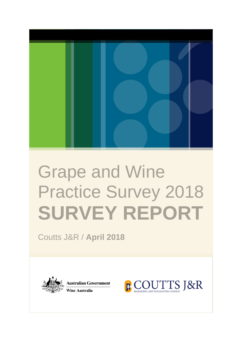

# Grape and Wine Practice Survey 2018 **SURVEY REPORT**

Coutts J&R / **April 2018** 



**Australian Government Wine Australia** 

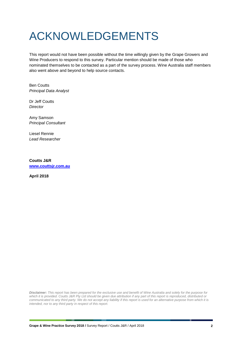# <span id="page-1-0"></span>ACKNOWLEDGEMENTS

This report would not have been possible without the time willingly given by the Grape Growers and Wine Producers to respond to this survey. Particular mention should be made of those who nominated themselves to be contacted as a part of the survey process. Wine Australia staff members also went above and beyond to help source contacts.

Ben Coutts *Principal Data Analyst*

Dr Jeff Coutts *Director*

Amy Samson *Principal Consultant*

Liesel Rennie *Lead Researcher*

**Coutts J&R [www.couttsjr.com.au](http://www.couttsjr.com.au/)**

**April 2018**

*Disclaimer: This report has been prepared for the exclusive use and benefit of Wine Australia and solely for the purpose for which it is provided. Coutts J&R Pty Ltd should be given due attribution if any part of this report is reproduced, distributed or communicated to any third party. We do not accept any liability if this report is used for an alternative purpose from which it is intended, nor to any third party in respect of this report.*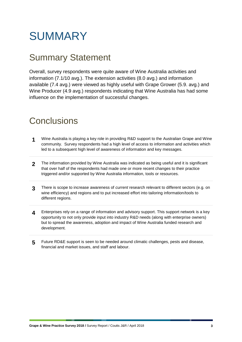# <span id="page-2-0"></span>**SUMMARY**

## <span id="page-2-1"></span>Summary Statement

Overall, survey respondents were quite aware of Wine Australia activities and information (7.1/10 avg.). The extension activities (8.0 avg.) and information available (7.4 avg.) were viewed as highly useful with Grape Grower (5.9. avg.) and Wine Producer (4.9 avg.) respondents indicating that Wine Australia has had some influence on the implementation of successful changes.

## **Conclusions**

- **1** Wine Australia is playing a key role in providing R&D support to the Australian Grape and Wine community. Survey respondents had a high level of access to information and activities which led to a subsequent high level of awareness of information and key messages.
- 2 The information provided by Wine Australia was indicated as being useful and it is significant that over half of the respondents had made one or more recent changes to their practice triggered and/or supported by Wine Australia information, tools or resources.
- **3** There is scope to increase awareness of *current* research relevant to different sectors (e.g. on wine efficiency) and regions and to put increased effort into tailoring information/tools to different regions.
- **4** Enterprises rely on a range of information and advisory support. This support network is a key opportunity to not only provide input into industry R&D needs (along with enterprise owners) but to spread the awareness, adoption and impact of Wine Australia funded research and development.
- <span id="page-2-2"></span>**5** Future RD&E support is seen to be needed around climatic challenges, pests and disease, financial and market issues, and staff and labour.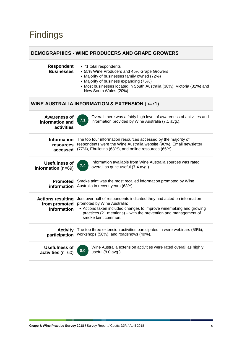## Findings

#### **DEMOGRAPHICS - WINE PRODUCERS AND GRAPE GROWERS**

| <b>Respondent</b><br><b>Businesses</b>                   | • 71 total respondents<br>• 55% Wine Producers and 45% Grape Growers<br>• Majority of businesses family owned (72%)<br>• Majority of business expanding (75%)<br>• Most businesses located in South Australia (38%), Victoria (31%) and<br>New South Wales (20%)     |  |
|----------------------------------------------------------|----------------------------------------------------------------------------------------------------------------------------------------------------------------------------------------------------------------------------------------------------------------------|--|
|                                                          | <b>WINE AUSTRALIA INFORMATION &amp; EXTENSION (n=71)</b>                                                                                                                                                                                                             |  |
| <b>Awareness of</b><br>information and<br>activities     | Overall there was a fairly high level of awareness of activities and<br>7.1<br>information provided by Wine Australia (7.1 avg.).                                                                                                                                    |  |
| <b>Information</b><br>resources<br>accessed              | The top four information resources accessed by the majority of<br>respondents were the Wine Australia website (90%), Email newsletter<br>(77%), Ebulletins (68%), and online resources (65%).                                                                        |  |
| <b>Usefulness of</b><br>information $(n=69)$             | Information available from Wine Australia sources was rated<br>7.4<br>overall as quite useful (7.4 avg.).                                                                                                                                                            |  |
| <b>Promoted</b><br>information                           | Smoke taint was the most recalled information promoted by Wine<br>Australia in recent years (63%).                                                                                                                                                                   |  |
| <b>Actions resulting</b><br>from promoted<br>information | Just over half of respondents indicated they had acted on information<br>promoted by Wine Australia:<br>• Actions taken included changes to improve winemaking and growing<br>practices (21 mentions) - with the prevention and management of<br>smoke taint common. |  |
| <b>Activity</b><br>participation                         | The top three extension activities participated in were webinars (59%),<br>workshops (58%), and roadshows (49%).                                                                                                                                                     |  |
| <b>Usefulness of</b><br>activities (n=60)                | Wine Australia extension activities were rated overall as highly<br>8.0<br>useful (8.0 avg.).                                                                                                                                                                        |  |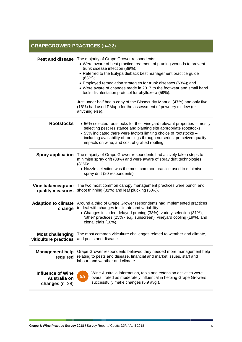## **GRAPEGROWER PRACTICES** (n=32)

| Pest and disease                                             | The majority of Grape Grower respondents:<br>• Were aware of best practice treatment of pruning wounds to prevent<br>trunk disease infection (88%);<br>• Referred to the Eutypa dieback best management practice guide<br>(63%);<br>• Employed remediation strategies for trunk diseases (63%); and<br>• Were aware of changes made in 2017 to the footwear and small hand<br>tools disinfestation protocol for phylloxera (59%).<br>Just under half had a copy of the Biosecurity Manual (47%) and only five<br>(16%) had used PMapp for the assessment of powdery mildew (or<br>anything else). |  |
|--------------------------------------------------------------|---------------------------------------------------------------------------------------------------------------------------------------------------------------------------------------------------------------------------------------------------------------------------------------------------------------------------------------------------------------------------------------------------------------------------------------------------------------------------------------------------------------------------------------------------------------------------------------------------|--|
| <b>Rootstocks</b>                                            | • 56% selected rootstocks for their vineyard relevant properties – mostly<br>selecting pest resistance and planting site appropriate rootstocks.<br>• 53% indicated there were factors limiting choice of rootstocks -<br>including availability of rootlings through nurseries, perceived quality<br>impacts on wine, and cost of grafted rootling.                                                                                                                                                                                                                                              |  |
| <b>Spray application</b>                                     | The majority of Grape Grower respondents had actively taken steps to<br>minimise spray drift (88%) and were aware of spray drift technologies<br>$(81\%)$ :<br>• Nozzle selection was the most common practice used to minimise<br>spray drift (20 respondents).                                                                                                                                                                                                                                                                                                                                  |  |
| Vine balance/grape<br>quality measures                       | The two most common canopy management practices were bunch and<br>shoot thinning (81%) and leaf plucking (50%).                                                                                                                                                                                                                                                                                                                                                                                                                                                                                   |  |
| <b>Adaption to climate</b><br>change                         | Around a third of Grape Grower respondents had implemented practices<br>to deal with changes in climate and variability:<br>• Changes included delayed pruning (38%), variety selection (31%),<br>'other' practices (25% - e.g. sunscreen), vineyard cooling (19%), and<br>clonal trials (16%).                                                                                                                                                                                                                                                                                                   |  |
| viticulture practices                                        | Most challenging The most common viticulture challenges related to weather and climate,<br>and pests and disease.                                                                                                                                                                                                                                                                                                                                                                                                                                                                                 |  |
| <b>Management help</b><br>required                           | Grape Grower respondents believed they needed more management help<br>relating to pests and disease, financial and market issues, staff and<br>labour, and weather and climate.                                                                                                                                                                                                                                                                                                                                                                                                                   |  |
| <b>Influence of Wine</b><br>Australia on<br>changes $(n=28)$ | Wine Australia information, tools and extension activities were<br>5.9<br>overall rated as moderately influential in helping Grape Growers<br>successfully make changes (5.9 avg.).                                                                                                                                                                                                                                                                                                                                                                                                               |  |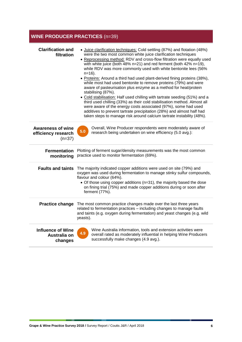### **WINE PRODUCER PRACTICES** (n=39)

| <b>Clarification and</b><br>filtration                      | • Juice clarification techniques: Cold settling (87%) and flotation (48%)<br>were the two most common white juice clarification techniques<br>• Reprocessing method: RDV and cross-flow filtration were equally used<br>with white juice (both 48% n=21) and red ferment (both 42% n=19),<br>while RDV was more commonly used with white bentonite lees (56%<br>$n=16$ ).<br>• Proteins: Around a third had used plant-derived fining proteins (38%),<br>while most had used bentonite to remove proteins (79%) and were<br>aware of pasteurisation plus enzyme as a method for heat/protein<br>stabilising (87%).<br>• Cold stabilisation: Half used chilling with tartrate seeding (51%) and a<br>third used chilling (33%) as their cold stabilisation method. Almost all<br>were aware of the energy costs associated (97%), some had used<br>additives to prevent tartrate precipitation (28%) and almost half had<br>taken steps to manage risk around calcium tartrate instability (48%). |  |  |  |
|-------------------------------------------------------------|--------------------------------------------------------------------------------------------------------------------------------------------------------------------------------------------------------------------------------------------------------------------------------------------------------------------------------------------------------------------------------------------------------------------------------------------------------------------------------------------------------------------------------------------------------------------------------------------------------------------------------------------------------------------------------------------------------------------------------------------------------------------------------------------------------------------------------------------------------------------------------------------------------------------------------------------------------------------------------------------------|--|--|--|
| <b>Awareness of wine</b><br>efficiency research<br>$(n=37)$ | Overall, Wine Producer respondents were moderately aware of<br>5.0<br>research being undertaken on wine efficiency (5.0 avg.):                                                                                                                                                                                                                                                                                                                                                                                                                                                                                                                                                                                                                                                                                                                                                                                                                                                                   |  |  |  |
| <b>Fermentation</b><br>monitoring                           | Plotting of ferment sugar/density measurements was the most common<br>practice used to monitor fermentation (69%).                                                                                                                                                                                                                                                                                                                                                                                                                                                                                                                                                                                                                                                                                                                                                                                                                                                                               |  |  |  |
| <b>Faults and taints</b>                                    | The majority indicated copper additions were used on site (79%) and<br>oxygen was used during fermentation to manage stinky sulfur compounds,<br>flavour and colour (64%).<br>• Of those using copper additions (n=31), the majority based the dose<br>on fining trial (75%) and made copper additions during or soon after<br>ferment (77%).                                                                                                                                                                                                                                                                                                                                                                                                                                                                                                                                                                                                                                                    |  |  |  |
| <b>Practice change</b>                                      | The most common practice changes made over the last three years<br>related to fermentation practices - including changes to manage faults<br>and taints (e.g. oxygen during fermentation) and yeast changes (e.g. wild<br>yeasts).                                                                                                                                                                                                                                                                                                                                                                                                                                                                                                                                                                                                                                                                                                                                                               |  |  |  |
| <b>Influence of Wine</b><br>Australia on<br>changes         | Wine Australia information, tools and extension activities were<br>4.9<br>overall rated as moderately influential in helping Wine Producers<br>successfully make changes (4.9 avg.).                                                                                                                                                                                                                                                                                                                                                                                                                                                                                                                                                                                                                                                                                                                                                                                                             |  |  |  |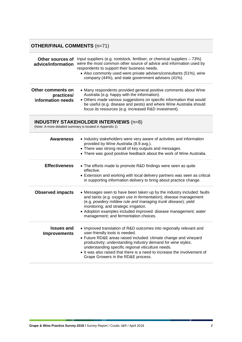### **OTHER/FINAL COMMENTS** (n=71)

| Other sources of<br>advice/information               | Input suppliers (e.g. rootstock, fertiliser, or chemical suppliers - 73%)<br>were the most common other source of advice and information used by<br>respondents to support their business needs.<br>• Also commonly used were private advisers/consultants (51%), wine<br>company (44%), and state government advisers (41%). |
|------------------------------------------------------|-------------------------------------------------------------------------------------------------------------------------------------------------------------------------------------------------------------------------------------------------------------------------------------------------------------------------------|
| Other comments on<br>practices/<br>information needs | • Many respondents provided general positive comments about Wine<br>Australia (e.g. happy with the information).<br>• Others made various suggestions on specific information that would<br>be useful (e.g. disease and pests) and where Wine Australia should<br>focus its resources (e.g. increased R&D investment).        |

#### **INDUSTRY STAKEHOLDER INTERVIEWS** (n=8)

(Note: A more detailed summary is located in Appendix 1)

<span id="page-6-0"></span>

| <b>Awareness</b>                         | • Industry stakeholders were very aware of activities and information<br>provided by Wine Australia (8.9 avg.).<br>• There was strong recall of key outputs and messages.<br>• There was good positive feedback about the work of Wine Australia.                                                                                                                                                                 |
|------------------------------------------|-------------------------------------------------------------------------------------------------------------------------------------------------------------------------------------------------------------------------------------------------------------------------------------------------------------------------------------------------------------------------------------------------------------------|
| <b>Effectiveness</b>                     | • The efforts made to promote R&D findings were seen as quite<br>effective.<br>• Extension and working with local delivery partners was seen as critical<br>in supporting information delivery to bring about practice change.                                                                                                                                                                                    |
| <b>Observed impacts</b>                  | • Messages seen to have been taken up by the industry included: faults<br>and taints (e.g. oxygen use in fermentation); disease management<br>(e.g. powdery mildew rule and managing trunk disease); yield<br>monitoring; and strategic irrigation.<br>• Adoption examples included improved: disease management; water<br>management; and fermentation choices.                                                  |
| <b>Issues and</b><br><b>Improvements</b> | • Improved translation of R&D outcomes into regionally relevant and<br>user-friendly tools is needed.<br>• Future RD&E areas raised included: climate change and vineyard<br>productivity; understanding industry demand for wine styles;<br>understanding specific regional viticulture needs.<br>• It was also raised that there is a need to increase the involvement of<br>Grape Growers in the RD&E process. |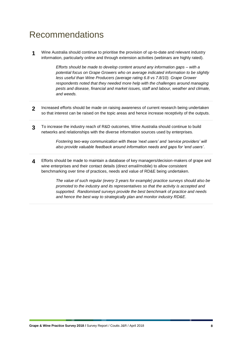## Recommendations

**1** Wine Australia should continue to prioritise the provision of up-to-date and relevant industry information, particularly online and through extension activities (webinars are highly rated).

> *Efforts should be made to develop content around any information gaps – with a potential focus on Grape Growers who on average indicated information to be slightly less useful than Wine Producers (average rating 6.8 vs 7.8/10). Grape Grower respondents noted that they needed more help with the challenges around managing pests and disease, financial and market issues, staff and labour, weather and climate, and weeds.*

- **2** Increased efforts should be made on raising awareness of current research being undertaken so that interest can be raised on the topic areas and hence increase receptivity of the outputs.
- **3** To increase the industry reach of R&D outcomes, Wine Australia should continue to build networks and relationships with the diverse information sources used by enterprises.

*Fostering two-way communication with these 'next users' and 'service providers' will also provide valuable feedback around information needs and gaps for 'end users'*.

**4** Efforts should be made to maintain a database of key managers/decision-makers of grape and wine enterprises and their contact details (direct email/mobile) to allow consistent benchmarking over time of practices, needs and value of RD&E being undertaken.

> *The value of such regular (every 3 years for example) practice surveys should also be promoted to the industry and its representatives so that the activity is accepted and supported. Randomised surveys provide the best benchmark of practice and needs and hence the best way to strategically plan and monitor industry RD&E*.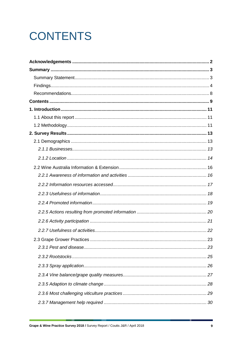# <span id="page-8-0"></span>**CONTENTS**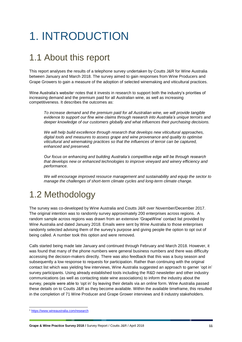# <span id="page-10-0"></span>1. INTRODUCTION

## <span id="page-10-1"></span>1.1 About this report

This report analyses the results of a telephone survey undertaken by Coutts J&R for Wine Australia between January and March 2018. The survey aimed to gain responses from Wine Producers and Grape Growers to gain a measure of the adoption of selected winemaking and viticultural practices.

Wine Australia's website<sup>1</sup> notes that it invests in research to support both the industry's priorities of increasing demand and the premium paid for all Australian wine, as well as increasing competitiveness. It describes the outcomes as:

*To increase demand and the premium paid for all Australian wine, we will provide tangible evidence to support our fine wine claims through research into Australia's unique terroirs and deeper knowledge of our customers globally and what influences their purchasing decisions.*

*We will help build excellence through research that develops new viticultural approaches, digital tools and measures to assess grape and wine provenance and quality to optimise viticultural and winemaking practices so that the influences of terroir can be captured, enhanced and preserved.*

*Our focus on enhancing and building Australia's competitive edge will be through research that develops new or enhanced technologies to improve vineyard and winery efficiency and performance.*

*We will encourage improved resource management and sustainability and equip the sector to manage the challenges of short-term climate cycles and long-term climate change.*

## <span id="page-10-2"></span>1.2 Methodology

The survey was co-developed by Wine Australia and Coutts J&R over November/December 2017. The original intention was to randomly survey approximately 200 enterprises across regions. A random sample across regions was drawn from an extensive 'GrapeWine' contact list provided by Wine Australia and dated January 2018. Emails were sent by Wine Australia to those enterprises randomly selected advising them of the survey's purpose and giving people the option to opt out of being called. A number took this option and were removed.

Calls started being made late January and continued through February and March 2018. However, it was found that many of the phone numbers were general business numbers and there was difficulty accessing the decision-makers directly. There was also feedback that this was a busy season and subsequently a low response to requests for participation. Rather than continuing with the original contact list which was yielding few interviews, Wine Australia suggested an approach to garner 'opt in' survey participants. Using already established tools including the R&D newsletter and other industry communications (as well as contacting state wine associations) to inform the industry about the survey, people were able to 'opt in' by leaving their details via an online form. Wine Australia passed these details on to Coutts J&R as they become available. Within the available timeframe, this resulted in the completion of 71 Wine Producer and Grape Grower interviews and 8 industry stakeholders.

-

<sup>1</sup> <https://www.wineaustralia.com/research>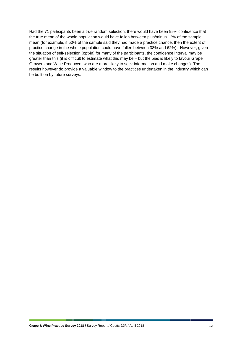Had the 71 participants been a true random selection, there would have been 95% confidence that the true mean of the whole population would have fallen between plus/minus 12% of the sample mean (for example, if 50% of the sample said they had made a practice chance, then the extent of practice change in the whole population could have fallen between 38% and 62%). However, given the situation of self-selection (opt-in) for many of the participants, the confidence interval may be greater than this (it is difficult to estimate what this may be – but the bias is likely to favour Grape Growers and Wine Producers who are more likely to seek information and make changes). The results however do provide a valuable window to the practices undertaken in the industry which can be built on by future surveys.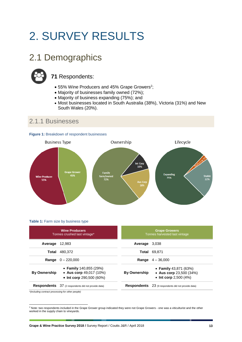# <span id="page-12-0"></span>2. SURVEY RESULTS

## <span id="page-12-1"></span>2.1 Demographics



## **71** Respondents:

- 55% Wine Producers and 45% Grape Growers<sup>2</sup>;
- Majority of businesses family owned (72%);
- Majority of business expanding (75%); and
- Most businesses located in South Australia (38%), Victoria (31%) and New South Wales (20%).

## <span id="page-12-2"></span>2.1.1 Businesses





#### **Table 1:** Farm size by business type

| <b>Wine Producers</b><br>Tonnes crushed last vintage* |                                                                                   | <b>Grape Growers</b><br>Tonnes harvested last vintage |                                                                              |
|-------------------------------------------------------|-----------------------------------------------------------------------------------|-------------------------------------------------------|------------------------------------------------------------------------------|
| Average                                               | 12.983                                                                            | Average                                               | 3,038                                                                        |
| Total                                                 | 480.372                                                                           |                                                       | <b>Total 69.871</b>                                                          |
|                                                       | <b>Range</b> $0 - 220,000$                                                        | Range                                                 | $4 - 36,000$                                                                 |
| <b>By Ownership</b>                                   | • Family $140,855(29%)$<br>• Aus corp $49,017$ (10%)<br>• Int corp $290,500(60%)$ | <b>By Ownership</b>                                   | • Family $43,871$ (63%)<br>• Aus corp 23,500 (34%)<br>• Int corp $2,500(4%)$ |
|                                                       | <b>Respondents</b> 37 (2 respondents did not provide data)                        | <b>Respondents</b>                                    | 23 (9 respondents did not provide data)                                      |

*\*(including contract processing for other people)*

1

<sup>&</sup>lt;sup>2</sup> Note: two respondents included in the Grape Grower group indicated they were not Grape Growers - one was a viticulturist and the other worked in the supply chain to vineyards.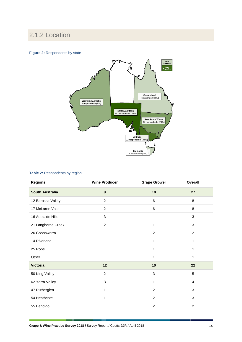## <span id="page-13-0"></span>2.1.2 Location

#### **Figure 2: Respondents by state**



#### **Table 2:** Respondents by region

| <b>Regions</b>         | <b>Wine Producer</b> | <b>Grape Grower</b> | Overall        |
|------------------------|----------------------|---------------------|----------------|
| <b>South Australia</b> | $\boldsymbol{9}$     | 18                  | 27             |
| 12 Barossa Valley      | $\overline{c}$       | 6                   | 8              |
| 17 McLaren Vale        | $\overline{c}$       | 6                   | 8              |
| 16 Adelaide Hills      | 3                    |                     | $\mathbf{3}$   |
| 21 Langhorne Creek     | $\overline{c}$       | 1                   | $\mathbf{3}$   |
| 26 Coonawarra          |                      | $\overline{2}$      | $\overline{c}$ |
| 14 Riverland           |                      | 1                   | 1              |
| 25 Robe                |                      | 1                   | 1              |
| Other                  |                      | 1                   | 1              |
| <b>Victoria</b>        | 12                   | 10                  | 22             |
| 50 King Valley         | $\overline{c}$       | 3                   | 5              |
| 62 Yarra Valley        | 3                    | $\mathbf{1}$        | $\overline{4}$ |
| 47 Rutherglen          | 1                    | $\overline{2}$      | 3              |
| 54 Heathcote           | 1                    | $\overline{c}$      | $\mathbf{3}$   |
| 55 Bendigo             |                      | $\overline{c}$      | $\overline{2}$ |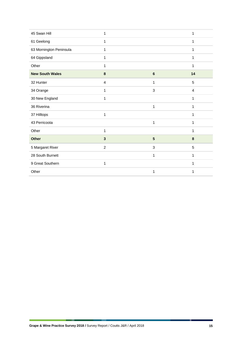| 45 Swan Hill            | 1              |                | 1              |
|-------------------------|----------------|----------------|----------------|
| 61 Geelong              | $\mathbf{1}$   |                | 1              |
| 63 Mornington Peninsula | $\mathbf{1}$   |                | 1              |
| 64 Gippsland            | 1              |                | 1              |
| Other                   | 1              |                | 1              |
| <b>New South Wales</b>  | 8              | $\bf 6$        | 14             |
| 32 Hunter               | $\overline{4}$ | 1              | 5              |
| 34 Orange               | 1              | 3              | $\overline{4}$ |
| 30 New England          | 1              |                | 1              |
| 36 Riverina             |                | $\mathbf{1}$   | 1              |
| 37 Hilltops             | $\mathbf{1}$   |                | 1              |
| 43 Perricoota           |                | 1              | 1              |
| Other                   | $\mathbf{1}$   |                | 1              |
| <b>Other</b>            | $\mathbf{3}$   | $5\phantom{1}$ | $\bf 8$        |
| 5 Margaret River        | $\overline{c}$ | 3              | 5              |
| 28 South Burnett        |                | 1              | 1              |
| 9 Great Southern        | 1              |                | 1              |
| Other                   |                | 1              | 1              |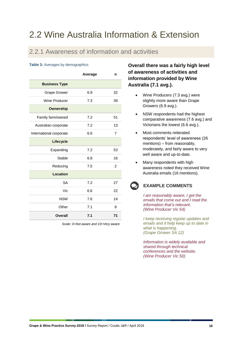## <span id="page-15-0"></span>2.2 Wine Australia Information & Extension

### <span id="page-15-1"></span>2.2.1 Awareness of information and activities

#### **Table 3:** Averages by demographics

|                         | Average | n              |
|-------------------------|---------|----------------|
| <b>Business Type</b>    |         |                |
| <b>Grape Grower</b>     | 6.9     | 32             |
| Wine Producer           | 7.3     | 39             |
| <b>Ownership</b>        |         |                |
| Family farm/owned       | 7.2     | 51             |
| Australian corporate    | 7.2     | 13             |
| International corporate | 6.6     | 7              |
| <b>Lifecycle</b>        |         |                |
| Expanding               | 7.2     | 53             |
| Stable                  | 6.8     | 16             |
| Reducing                | 7.5     | $\overline{2}$ |
| Location                |         |                |
| <b>SA</b>               | 7.2     | 27             |
| Vic                     | 6.6     | 22             |
| <b>NSW</b>              | 7.6     | 14             |
| Other                   | 7.1     | 8              |
| Overall                 | 7.1     | 71             |

*Scale: 0=Not aware and 10=Very aware* 

**Overall there was a fairly high level of awareness of activities and information provided by Wine Australia (7.1 avg.).**

- Wine Producers (7.3 avg.) were slightly more aware than Grape Growers (6.9 avg.).
- NSW respondents had the highest comparative awareness (7.6 avg.) and Victorians the lowest (6.6 avg.).
- Most comments reiterated respondents' level of awareness (26 mentions) – from reasonably, moderately, and fairly aware to very well aware and up-to-date.
- Many respondents with high awareness noted they received Wine Australia emails (16 mentions).

#### **EXAMPLE COMMENTS**

*I am reasonably aware, I get the emails that come out and I read the information that's relevant. (Wine Producer Vic 54)*

*I keep receiving regular updates and emails and it help keep up to date in what is happening. (Grape Grower SA 12)*

*Information is widely available and shared through technical conferences and the website. (Wine Producer Vic 50)*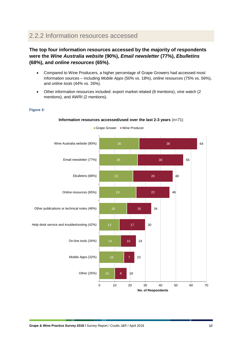## <span id="page-16-0"></span>2.2.2 Information resources accessed

**Figure 3:**

#### **The top four information resources accessed by the majority of respondents were the** *Wine Australia website* **(90%),** *Email newsletter* **(77%),** *Ebulletins* **(68%), and** *online resources* **(65%).**

- Compared to Wine Producers, a higher percentage of Grape Growers had accessed most information sources – including *Mobile Apps* (50% vs. 18%), *online resources* (75% vs. 56%), and *online tools* (44% vs. 26%).
- Other information resources included: export market related (8 mentions), vine watch (2 mentions), and AWRI (2 mentions).

#### 26 25 22 24 13 10 38 30 26 22 16 17 10 7 8 64 55 48 46 34 30 24 23 18 0 10 20 30 40 50 60 70 Wine Australia website (90%) Email newsletter (77%) Ebulletins (68%) Online resources (65%) Other publications or technical notes (48%) Help desk service and troubleshooting (42%) On-line tools (34%) Mobile Apps (32%) Other (25%) **No. of Respondents**

#### **Information resources accessed/used over the last 2-3 years** (n=71)

Grape Grower Wine Producer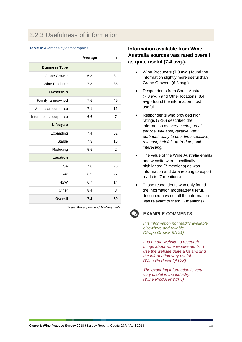## <span id="page-17-0"></span>2.2.3 Usefulness of information

#### **Table 4:** Averages by demographics

|                         | Average | n              |
|-------------------------|---------|----------------|
| <b>Business Type</b>    |         |                |
| <b>Grape Grower</b>     | 6.8     | 31             |
| Wine Producer           | 7.8     | 38             |
| <b>Ownership</b>        |         |                |
| Family farm/owned       | 7.6     | 49             |
| Australian corporate    | 7.1     | 13             |
| International corporate | 6.6     | $\overline{7}$ |
| <b>Lifecycle</b>        |         |                |
| Expanding               | 7.4     | 52             |
| Stable                  | 7.3     | 15             |
| Reducing                | 5.5     | $\mathfrak{p}$ |
| Location                |         |                |
| <b>SA</b>               | 7.8     | 25             |
| Vic                     | 6.9     | 22             |
| <b>NSW</b>              | 6.7     | 14             |
| Other                   | 8.4     | 8              |
| Overall                 | 7.4     | 69             |

*Scale: 0=Very low and 10=Very high*

#### **Information available from Wine Australia sources was rated overall as quite useful (7.4 avg.).**

- Wine Producers (7.8 avg.) found the information slightly more useful than Grape Growers (6.8 avg.).
- Respondents from South Australia (7.8 avg.) and Other locations (8.4 avg.) found the information most useful.
- Respondents who provided high ratings (7-10) described the information as: *very useful, great service, valuable, reliable, very pertinent, easy to use, time sensitive, relevant, helpful, up-to-date,* and *interesting.*
- The value of the Wine Australia emails and website were specifically highlighted (7 mentions) as was information and data relating to export markets (7 mentions).
- Those respondents who only found the information moderately useful, described how not all the information was relevant to them (6 mentions).



#### **EXAMPLE COMMENTS**

*It is information not readily available elsewhere and reliable. (Grape Grower SA 21)*

*I go on the website to research things about wine requirements. I use the website quite a lot and find the information very useful. (Wine Producer Qld 28)*

*The exporting information is very very useful in the industry. (Wine Producer WA 5)*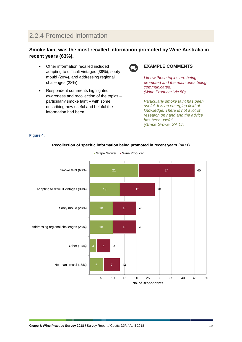## <span id="page-18-0"></span>2.2.4 Promoted information

#### **Smoke taint was the most recalled information promoted by Wine Australia in recent years (63%).**

- Other information recalled included adapting to difficult vintages (39%), sooty mould (28%), and addressing regional challenges (28%).
- Respondent comments highlighted awareness and recollection of the topics – particularly smoke taint – with some describing how useful and helpful the information had been.



#### **EXAMPLE COMMENTS**

*I know those topics are being promoted and the main ones being communicated. (Wine Producer Vic 50)*

*Particularly smoke taint has been useful. It is an emerging field of knowledge. There is not a lot of research on hand and the advice has been useful. (Grape Grower SA 17)*

#### **Figure 4:**



#### **Recollection of specific information being promoted in recent years** (n=71)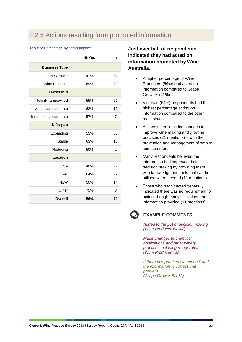## <span id="page-19-0"></span>2.2.5 Actions resulting from promoted information

#### **Table 5: Percentage by demographics**

|                         | % Yes | n              |
|-------------------------|-------|----------------|
| <b>Business Type</b>    |       |                |
| <b>Grape Grower</b>     | 41%   | 32             |
| Wine Producer           | 69%   | 39             |
| <b>Ownership</b>        |       |                |
| Family farm/owned       | 55%   | 51             |
| Australian corporate    | 62%   | 13             |
| International corporate | 57%   | $\overline{7}$ |
| Lifecycle               |       |                |
| Expanding               | 55%   | 53             |
| Stable                  | 63%   | 16             |
| Reducing                | 50%   | $\overline{2}$ |
| Location                |       |                |
| <b>SA</b>               | 48%   | 27             |
| Vic                     | 64%   | 22             |
| <b>NSW</b>              | 50%   | 14             |
| Other                   | 75%   | 8              |
| <b>Overall</b>          | 56%   | 71             |

#### **Just over half of respondents indicated they had acted on information promoted by Wine Australia.**

- A higher percentage of Wine Producers (69%) had acted on information compared to Grape Growers (41%).
- Victorian (64%) respondents had the highest percentage acting on information compared to the other main states.
- Actions taken included changes to improve wine making and growing practices (21 mentions) – with the prevention and management of smoke taint common.
- Many respondents believed the information had improved their decision making by providing them with knowledge and tools that can be utilised when needed (11 mentions).
- Those who hadn't acted generally indicated there was no requirement for action, though many still valued the information provided (11 mentions).



#### **EXAMPLE COMMENTS**

*Added to the pot of decision making. (Wine Producer Vic 47)*

*Made changes to chemical applications and other winery practices including refrigeration. (Wine Producer Tas)*

*If there is a problem we act on it and the information to correct that problem. (Grape Grower SA 12)*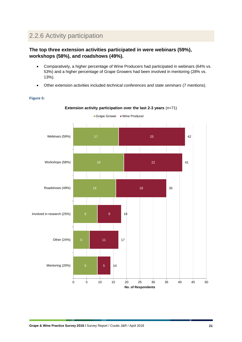## <span id="page-20-0"></span>2.2.6 Activity participation

#### **The top three extension activities participated in were webinars (59%), workshops (58%), and roadshows (49%).**

- Comparatively, a higher percentage of Wine Producers had participated in webinars (64% vs. 53%) and a higher percentage of Grape Growers had been involved in mentoring (28% vs. 13%).
- Other extension activities included *technical conferences and state seminars* (7 mentions).

#### **Figure 5:**



**Extension activity participation over the last 2-3 years** (n=71)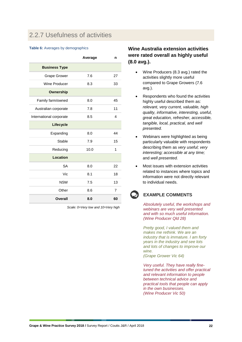## <span id="page-21-0"></span>2.2.7 Usefulness of activities

#### **Table 6:** Averages by demographics

|                         | Average | n              |
|-------------------------|---------|----------------|
| <b>Business Type</b>    |         |                |
| <b>Grape Grower</b>     | 7.6     | 27             |
| Wine Producer           | 8.3     | 33             |
| <b>Ownership</b>        |         |                |
| Family farm/owned       | 8.0     | 45             |
| Australian corporate    | 7.8     | 11             |
| International corporate | 8.5     | 4              |
| Lifecycle               |         |                |
| Expanding               | 8.0     | 44             |
| Stable                  | 7.9     | 15             |
| Reducing                | 10.0    | 1              |
| Location                |         |                |
| <b>SA</b>               | 8.0     | 22             |
| Vic                     | 8.1     | 18             |
| <b>NSW</b>              | 7.5     | 13             |
| Other                   | 8.6     | $\overline{7}$ |
| Overall                 | 8.0     | 60             |

*Scale: 0=Very low and 10=Very high* 

#### **Wine Australia extension activities were rated overall as highly useful (8.0 avg.).**

- Wine Producers (8.3 avg.) rated the activities slightly more useful compared to Grape Growers (7.6 avg.).
- Respondents who found the activities highly useful described them as: *relevant, very current, valuable, high quality, informative, interesting, useful, great education, refresher, accessible, tangible, local, practical,* and *well presented.*
- Webinars were highlighted as being particularly valuable with respondents describing them as *very useful; very interesting; accessible at any time;*  and *well presented.*
- Most issues with extension activities related to instances where topics and information were not directly relevant to individual needs.

#### **EXAMPLE COMMENTS**

*Absolutely useful, the workshops and webinars are very well presented and with so much useful information. (Wine Producer Qld 28)*

*Pretty good, I valued them and makes me rethink. We are an industry that is immature. I am forty years in the industry and see lots and lots of changes to improve our wine.*

*(Grape Grower Vic 64)*

*Very useful. They have really finetuned the activities and offer practical and relevant information to people between technical advice and practical tools that people can apply in the own businesses. (Wine Producer Vic 50)*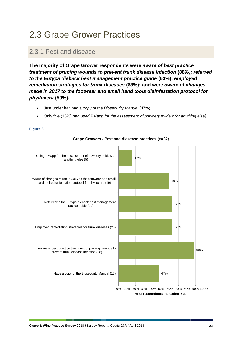## <span id="page-22-0"></span>2.3 Grape Grower Practices

### <span id="page-22-1"></span>2.3.1 Pest and disease

**The majority of Grape Grower respondents were** *aware of best practice treatment of pruning wounds to prevent trunk disease infection* **(88***%); referred to the Eutypa dieback best management practice guide* **(63%);** *employed remediation strategies for trunk diseases* **(63%); and were** *aware of changes made in 2017 to the footwear and small hand tools disinfestation protocol for phylloxera* **(59%).**

- Just under half had a *copy of the Biosecurity Manual* (47%).
- Only five (16%) had *used PMapp for the assessment of powdery mildew (or anything else).*



#### **Figure 6:**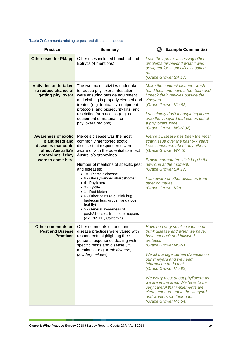#### **Table 7:** Comments relating to pest and disease practices

| <b>Practice</b>                                                                                                                       | <b>Summary</b>                                                                                                                                                                                                                                                                                                                                                                                                                                                                                                                          | <b>Example Comment(s)</b>                                                                                                                                                                                                                                                                                                                                                                                                                                               |
|---------------------------------------------------------------------------------------------------------------------------------------|-----------------------------------------------------------------------------------------------------------------------------------------------------------------------------------------------------------------------------------------------------------------------------------------------------------------------------------------------------------------------------------------------------------------------------------------------------------------------------------------------------------------------------------------|-------------------------------------------------------------------------------------------------------------------------------------------------------------------------------------------------------------------------------------------------------------------------------------------------------------------------------------------------------------------------------------------------------------------------------------------------------------------------|
| <b>Other uses for PMapp</b>                                                                                                           | Other uses included bunch rot and<br>Botrytis (4 mentions)                                                                                                                                                                                                                                                                                                                                                                                                                                                                              | I use the app for assessing other<br>problems far beyond what it was<br>designed for - specifically bunch<br>rot.<br>(Grape Grower SA 17)                                                                                                                                                                                                                                                                                                                               |
| <b>Activities undertaken</b><br>to reduce chance of<br>getting phylloxera                                                             | The two main activities undertaken<br>to reduce phylloxera infestation<br>were ensuring outside equipment<br>and clothing is properly cleaned and<br>treated (e.g. footbaths, equipment<br>protocols, and biosecurity kits) and<br>restricting farm access (e.g. no<br>equipment or material from<br>phylloxera regions).                                                                                                                                                                                                               | Make the contract cleaners wash<br>hand tools and have a foot bath and<br>I check their vehicles outside the<br>vineyard<br>(Grape Grower Vic 62)<br>I absolutely don't let anything come<br>onto the vineyard that comes out of<br>a phylloxera zone<br>(Grape Grower NSW 32)                                                                                                                                                                                          |
| <b>Awareness of exotic</b><br>plant pests and<br>diseases that could<br>affect Australia's<br>grapevines if they<br>were to come here | Pierce's disease was the most<br>commonly mentioned exotic<br>disease that respondents were<br>aware of with the potential to affect<br>Australia's grapevines.<br>Number of mentions of specific pest<br>and diseases:<br>• 18 - Pierce's disease<br>• 6 - Glassy-winged sharpshooter<br>• 4 - Phylloxera<br>• 3 - Xylella<br>• 1 - Red blotch<br>• 6 - Other pests (e.g. stink bug;<br>harlequin bug; grubs; kangaroos;<br>fruit fly)<br>• 5 - General awareness of<br>pests/diseases from other regions<br>(e.g. NZ, NT, California) | Pierce's Disease has been the most<br>scary issue over the past 6-7 years.<br>Less concerned about any others.<br>(Grape Grower WA 5)<br>Brown marmorated stink bug is the<br>new one at the moment.<br>(Grape Grower SA 17)<br>I am aware of other diseases from<br>other countries.<br>(Grape Grower Vic)                                                                                                                                                             |
| Other comments on<br><b>Pest and Disease</b><br><b>Practices</b>                                                                      | Other comments on pest and<br>disease practices were varied with<br>respondents highlighting their<br>personal experience dealing with<br>specific pests and disease (25<br>mentions - e.g. trunk disease,<br>powdery mildew)                                                                                                                                                                                                                                                                                                           | Have had very small incidence of<br>trunk disease and when we have,<br>have cut back and followed<br>protocol.<br>(Grape Grower NSW)<br>We all manage certain diseases on<br>our vineyard and we need<br>information to do that.<br>(Grape Grower Vic 62)<br>We worry most about phylloxera as<br>we are in the area. We have to be<br>very careful that implements are<br>clean, cars are not in the vineyard<br>and workers dip their boots.<br>(Grape Grower Vic 54) |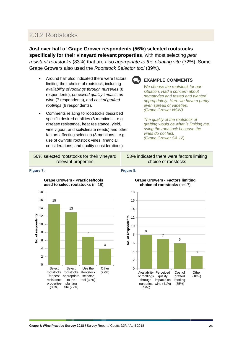## <span id="page-24-0"></span>2.3.2 Rootstocks

**Just over half of Grape Grower respondents (56%) selected rootstocks specifically for their vineyard relevant properties**, with most selecting *pest resistant rootstocks* (83%) that are also *appropriate to the planting site* (72%). Some Grape Growers also used the *Rootstock Selector tool* (39%).

- Around half also indicated there were factors limiting their choice of rootstock, including *availability of rootlings through nurseries* (8 respondents), *perceived quality impacts on wine* (7 respondents), and *cost of grafted rootlings* (6 respondents).
- Comments relating to rootstocks described specific desired qualities (8 mentions – e.g. disease resistance, heat resistance, yield, vine vigour, and soil/climate needs) and other factors affecting selection (8 mentions – e.g. use of own/old rootstock vines, financial considerations, and quality considerations).



#### **EXAMPLE COMMENTS**

*We choose the rootstock for our situation. Had a concern about nematodes and tested and planted appropriately. Here we have a pretty even spread of varieties. (Grape Grower NSW)*

*The quality of the rootstock of grafting would be what is limiting me using the rootstock because the vines do not last. (Grape Grower SA 12)*

56% selected rootstocks for their vineyard relevant properties

53% indicated there were factors limiting choice of roostocks

#### **Figure 7: Figure 8:**







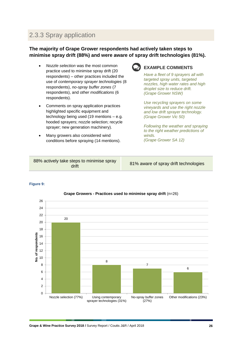## <span id="page-25-0"></span>2.3.3 Spray application

#### **The majority of Grape Grower respondents had actively taken steps to minimise spray drift (88%) and were aware of spray drift technologies (81%).**

- *Nozzle selection* was the most common practice used to minimise spray drift (20 respondents) – other practices included the use of *contemporary sprayer technologies* (8 respondents), *no-spray buffer zones* (7 respondents), and *other modifications* (6 respondents).
- Comments on spray application practices highlighted specific equipment and technology being used (19 mentions – e.g. hooded sprayers; nozzle selection; recycle sprayer; new generation machinery).
- Many growers also considered wind conditions before spraying (14 mentions).



#### **EXAMPLE COMMENTS**

*Have a fleet of 9 sprayers all with targeted spray units, targeted nozzles, high water rates and high droplet size to reduce drift. (Grape Grower NSW)*

*Use recycling sprayers on some vineyards and use the right nozzle and low drift sprayer technology. (Grape Grower Vic 50)*

*Following the weather and spraying to the right weather predictions of winds. (Grape Grower SA 12)*

| 88% actively take steps to minimise spray<br>drift | 81% aware of spray drift technologies |
|----------------------------------------------------|---------------------------------------|
|----------------------------------------------------|---------------------------------------|

#### **Figure 9:**



#### **Grape Growers - Practices used to minimise spray drift** (n=26)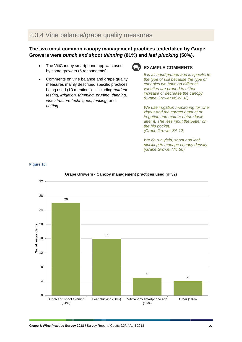## <span id="page-26-0"></span>2.3.4 Vine balance/grape quality measures

#### **The two most common canopy management practices undertaken by Grape Growers were** *bunch and shoot thinning* **(81%) and** *leaf plucking* **(50%).**

- The VitiCanopy smartphone app was used by some growers (5 respondents).
- Comments on vine balance and grape quality measures mainly described specific practices being used (13 mentions) – including *nutrient testing, irrigation, trimming, pruning, thinning, vine structure techniques, fencing,* and *netting*.



#### **EXAMPLE COMMENTS**

*It is all hand pruned and is specific to the type of soil because the type of canopies we have on different varieties are pruned to either increase or decrease the canopy. (Grape Grower NSW 32)*

*We use irrigation monitoring for vine vigour and the correct amount or irrigation and mother nature looks after it. The less input the better on the hip pocket. (Grape Grower SA 12)*

*We do run yield, shoot and leaf plucking to manage canopy density. (Grape Grower Vic 50)*



#### **Figure 10:**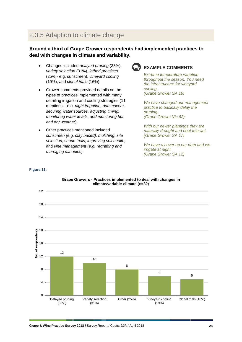## <span id="page-27-0"></span>2.3.5 Adaption to climate change

#### **Around a third of Grape Grower respondents had implemented practices to deal with changes in climate and variability.**

- Changes included *delayed pruning* (38%), *variety selection* (31%), *'other' practices* (25% - e.g. sunscreen), *vineyard cooling* (19%), and *clonal trials* (16%).
- Grower comments provided details on the types of practices implemented with many detailing irrigation and cooling strategies (11 mentions – e.g. *night irrigation, dam covers, securing water sources, adjusting timing, monitoring water levels, and monitoring hot and dry weather*).
- Other practices mentioned included *sunscreen (e.g. clay based), mulching, site selection, shade trials, improving soil health,* and *vine management (e.g. regrafting and managing canopies)*

**Figure 11:**



#### **EXAMPLE COMMENTS**

*Extreme temperature variation throughout the season. You need the infrastructure for vineyard cooling. (Grape Grower SA 16)*

*We have changed our management practice to basically delay the pruning. (Grape Grower Vic 62)*

*With our newer plantings they are naturally drought and heat tolerant. (Grape Grower SA 17)*

*We have a cover on our dam and we irrigate at night. (Grape Grower SA 12)*



## **Grape Growers - Practices implemented to deal with changes in**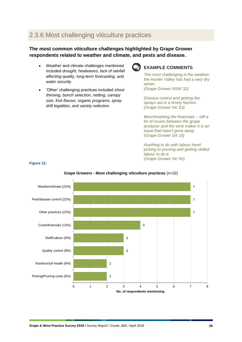## <span id="page-28-0"></span>2.3.6 Most challenging viticulture practices

#### **The most common viticulture challenges highlighted by Grape Grower respondents related to weather and climate, and pests and disease.**

- Weather and climate challenges mentioned included *drought, heatwaves, lack of rainfall affecting quality, long-term forecasting,* and *water security.*
- 'Other' challenging practices included *shoot thinning, bunch selection, netting, canopy size, fruit flavour, organic programs, spray drift legalities,* and *variety selection*.

**Figure 12:**



#### **EXAMPLE COMMENTS**

*The most challenging is the weather, the Hunter Valley has had a very dry winter. (Grape Grower NSW 32)*

*Disease control and getting the sprays out in a timely fashion. (Grape Grower Vic 63)*

*Benchmarking the financials – still a lot of issues between the grape producer and the wine maker it is an issue that hasn't gone away. (Grape Grower SA 16)*

*Anything to do with labour hand picking to pruning and getting skilled labour to do it. (Grape Grower Vic 50)*



#### **Grape Growers - Most challenging viticulture practices** (n=32)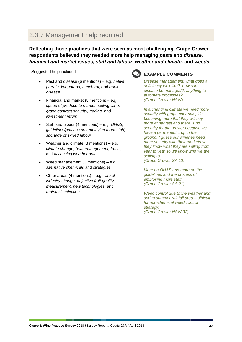## <span id="page-29-0"></span>2.3.7 Management help required

**Reflecting those practices that were seen as most challenging, Grape Grower respondents believed they needed more help managing** *pests and disease, financial and market issues, staff and labour***,** *weather and climate,* **and** *weeds.*

Suggested help included:

- Pest and disease (6 mentions) e.g. *native parrots, kangaroos, bunch rot,* and *trunk disease*
- Financial and market (5 mentions  $-$  e.g. *speed of produce to market, selling wine, grape contract security, trading,* and *investment return*
- Staff and labour (4 mentions) e.g. *OH&S, guidelines/process on employing more staff, shortage of skilled labour*
- Weather and climate  $(3$  mentions) e.g. *climate change, heat management, frosts,* and *accessing weather data*
- Weed management (3 mentions)  $-$  e.g. *alternative chemicals* and *strategies*
- Other areas (4 mentions) e.g. *rate of industry change, objective fruit quality measurement, new technologies,* and *rootstock selection*



#### **EXAMPLE COMMENTS**

*Disease management; what does a deficiency look like?; how can disease be managed?; anything to automate processes? (Grape Grower NSW)*

*In a changing climate we need more security with grape contracts, it's becoming more that they will buy more at harvest and there is no security for the grower because we have a permanent crop in the ground, I guess our wineries need more security with their markets so they know what they are selling from year to year so we know who we are selling to. (Grape Grower SA 12)*

*More on OH&S and more on the guidelines and the process of employing more staff. (Grape Grower SA 21)*

*Weed control due to the weather and spring summer rainfall area – difficult for non-chemical weed control strategy. (Grape Grower NSW 32)*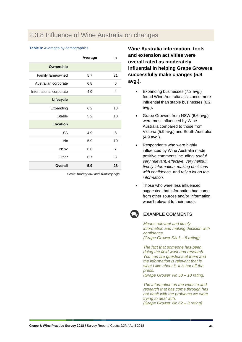### <span id="page-30-0"></span>2.3.8 Influence of Wine Australia on changes

#### **Table 8:** Averages by demographics

|                         | Average | n  |
|-------------------------|---------|----|
| <b>Ownership</b>        |         |    |
| Family farm/owned       | 5.7     | 21 |
| Australian corporate    | 6.8     | 6  |
| International corporate | 4.0     | 4  |
| Lifecycle               |         |    |
| Expanding               | 6.2     | 18 |
| Stable                  | 5.2     | 10 |
| Location                |         |    |
| <b>SA</b>               | 4.9     | 8  |
| Vic                     | 5.9     | 10 |
| <b>NSW</b>              | 6.6     | 7  |
| Other                   | 6.7     | 3  |
| Overall                 | 5.9     | 28 |

*Scale: 0=Very low and 10=Very high*

**Wine Australia information, tools and extension activities were overall rated as moderately influential in helping Grape Growers successfully make changes (5.9 avg.).**

- Expanding businesses (7.2 avg.) found Wine Australia assistance more influential than stable businesses (6.2 avg.).
- Grape Growers from NSW (6.6 avg.) were most influenced by Wine Australia compared to those from Victoria (5.9 avg.) and South Australia (4.9 avg.).
- Respondents who were highly influenced by Wine Australia made positive comments including: *useful, very relevant, effective, very helpful, timely information, making decisions with confidence,* and *rely a lot on the information.*
- Those who were less influenced suggested that information had come from other sources and/or information wasn't relevant to their needs.



#### **EXAMPLE COMMENTS**

*Means relevant and timely information and making decision with confidence. (Grape Grower SA 1 – 8 rating)*

*The fact that someone has been doing the field work and research. You can fire questions at them and the information is relevant that is what I like about it. It is hot off the press. (Grape Grower Vic 50 – 10 rating)*

*The information on the website and research that has come through has not dealt with the problems we were trying to deal with. (Grape Grower Vic 62 – 3 rating)*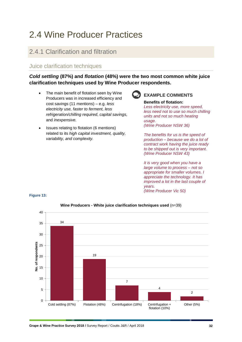## <span id="page-31-0"></span>2.4 Wine Producer Practices

### <span id="page-31-1"></span>2.4.1 Clarification and filtration

#### Juice clarification techniques

*Cold settling* **(87%) and** *flotation* **(48%) were the two most common white juice clarification techniques used by Wine Producer respondents.**

- The main benefit of flotation seen by Wine Producers was in increased efficiency and cost savings (11 mentions) – e.g. *less electricity use, faster to ferment, less refrigeration/chilling required, capital savings,* and *inexpensive.*
- Issues relating to flotation (6 mentions) related to its *high capital investment, quality, variability, and complexity.*

#### **EXAMPLE COMMENTS**

**Benefits of flotation:** *Less electricity use, more speed, less need not to use so much chilling units and not so much heating usage. (Wine Producer NSW 36)*

*The benefits for us is the speed of production – because we do a lot of contract work having the juice ready to be shipped out is very important. (Wine Producer NSW 43)*

*It is very good when you have a large volume to process – not so appropriate for smaller volumes. I appreciate the technology. It has improved a lot in the last couple of years. (Wine Producer Vic 50)*



#### **Figure 13:**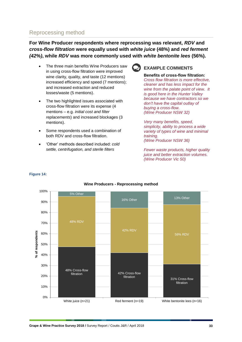### Reprocessing method

**Figure 14:**

**For Wine Producer respondents where reprocessing was relevant,** *RDV* **and**  *cross-flow filtration* **were equally used with** *white juice* **(48%) and** *red ferment (42%)***, while** *RDV* **was more commonly used with** *white bentonite lees* **(56%).**

- The three main benefits Wine Producers saw in using cross-flow filtration were improved wine clarity, quality, and taste (12 mentions) increased efficiency and speed (7 mentions); and increased extraction and reduced losses/waste (5 mentions).
- The two highlighted issues associated with cross-flow filtration were its expense (4 mentions – e.g. *initial cost and filter replacements*) and increased blockages (3 mentions).
- Some respondents used a combination of both RDV and cross-flow filtration.
- 'Other' methods described included: *cold settle, centrifugation, and sterile filters*



#### **EXAMPLE COMMENTS**

#### **Benefits of cross-flow filtration:**

*Cross flow filtration is more effective, cleaner and has less impact for the wine from the palate point of view. It is good here in the Hunter Valley because we have contractors so we don't have the capital outlay of buying a cross-flow. (Wine Producer NSW 32)*

*Very many benefits, speed, simplicity, ability to process a wide variety of types of wine and minimal training. (Wine Producer NSW 36)*

*Fewer waste products, higher quality juice and better extraction volumes. (Wine Producer Vic 50)*



#### **Wine Producers - Reprocessing method**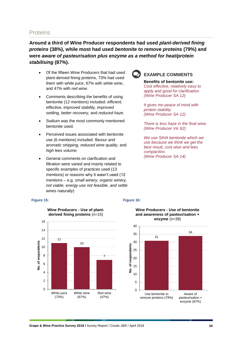#### **Proteins**

**Around a third of Wine Producer respondents had used** *plant-derived fining proteins* **(38%), while most had used** *bentonite to remove proteins* **(79%) and were** *aware of pasteurisation plus enzyme as a method for heat/protein stabilising* **(87%).**

- Of the fifteen Wine Producers that had used plant-derived fining proteins, 73% had used them with *white juice*, 67% with *white wine*, and 47% with *red wine.*
- Comments describing the benefits of using bentonite (12 mentions) included: *efficient, effective, improved stability, improved settling, better recovery,* and *reduced haze.*
- Sodium was the most commonly mentioned bentonite used.
- Perceived issues associated with bentonite use (6 mentions) included: *flavour and aromatic stripping, reduced wine quality,* and *high lees volume.*
- General comments on clarification and filtration were varied and mainly related to specific examples of practices used (13 mentions) or reasons why it wasn't used (12 mentions – e.g. *small winery, organic winery, not viable, energy use not feasible, and settle wines naturally*)



#### **EXAMPLE COMMENTS**

**Benefits of bentonite use:** *Cost effective, relatively easy to apply and good for clarification. (Wine Producer SA 12)*

*It gives me peace of mind with protein stability. (Wine Producer SA 12)*

*There is less haze in the final wine. (Wine Producer Vic 62)*

*We use SIHA bentonite which we use because we think we get the best result, cost wise and lees compaction. (Wine Producer SA 14)*

#### **Figure 15: Figure 16:**





#### **Wine Producers - Use of bentonite and awareness of pasteurisation +**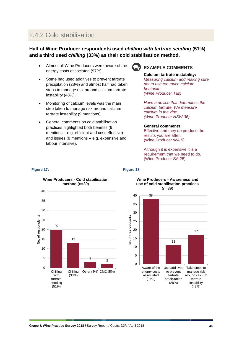## <span id="page-34-0"></span>2.4.2 Cold stabilisation

#### **Half of Wine Producer respondents used** *chilling with tartrate seeding* **(51%) and a third used** *chilling* **(33%) as their cold stabilisation method.**

- Almost all Wine Producers were aware of the energy costs associated (97%).
- Some had used additives to prevent tartrate precipitation (28%) and almost half had taken steps to manage risk around calcium tartrate instability (48%).
- Monitoring of calcium levels was the main step taken to manage risk around calcium tartrate instability (9 mentions).
- General comments on cold stabilisation practices highlighted both benefits (6 mentions – e.g. efficient and cost effective) and issues (8 mentions – e.g. expensive and labour intensive).



#### **EXAMPLE COMMENTS**

#### **Calcium tartrate instability:**

*Measuring calcium and making sure not to use too much calcium bentonite. (Wine Producer Tas)*

*Have a device that determines the calcium tartrate. We measure calcium in the vine. (Wine Producer NSW 36)*

#### **General comments:**

Effective and they do produce the results you are after. (Wine Producer WA 5)

Although it is expensive it is a requirement that we need to do. (Wine Producer SA 25)

#### **Wine Producers - Cold stabilisation method** (n=39) 40 35 30 No. of respondents **No. of respondents** 25 20 20 15 13 10 5 3  $\overline{2}$  $\overline{0}$ Chilling Chilling Other (8%) CMC (5%) with (33%) tartrate seeding (51%)

#### **Figure 17: Figure 18:**



#### **Wine Producers - Awareness and use of cold stabilisation practices**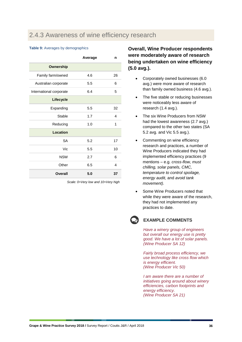### <span id="page-35-0"></span>2.4.3 Awareness of wine efficiency research

#### **Table 9: Averages by demographics**

|                         | Average | n  |
|-------------------------|---------|----|
| Ownership               |         |    |
| Family farm/owned       | 4.6     | 26 |
| Australian corporate    | 5.5     | 6  |
| International corporate | 6.4     | 5  |
| Lifecycle               |         |    |
| Expanding               | 5.5     | 32 |
| Stable                  | 1.7     | 4  |
| Reducing                | 1.0     | 1  |
| Location                |         |    |
| <b>SA</b>               | 5.2     | 17 |
| Vic                     | 5.5     | 10 |
| <b>NSW</b>              | 2.7     | 6  |
| Other                   | 6.5     | 4  |
| Overall                 | 5.0     | 37 |

*Scale: 0=Very low and 10=Very high*

#### **Overall, Wine Producer respondents were moderately aware of research being undertaken on wine efficiency (5.0 avg.).**

- Corporately owned businesses (6.0 avg.) were more aware of research than family owned business (4.6 avg.).
- The five stable or reducing businesses were noticeably less aware of research (1.4 avg.).
- The six Wine Producers from NSW had the lowest awareness (2.7 avg.) compared to the other two states (SA 5.2 avg. and Vic 5.5 avg.).
- Commenting on wine efficiency research and practices, a number of Wine Producers indicated they had implemented efficiency practices (9 mentions – e.g. *cross-flow, must chilling, solar panels, CMC, temperature to control spoilage, energy audit,* and *avoid tank movement).*
- Some Wine Producers noted that while they were aware of the research, they had not implemented any practices to date.

## **EXAMPLE COMMENTS**

*Have a winery group of engineers but overall our energy use is pretty good. We have a lot of solar panels. (Wine Producer SA 12)*

*Fairly broad process efficiency, we use technology like cross flow which is energy efficient. (Wine Producer Vic 50)*

*I am aware there are a number of initiatives going around about winery efficiencies, carbon footprints and energy efficiency. (Wine Producer SA 21)*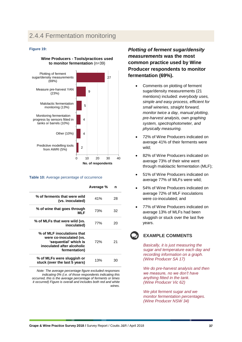## <span id="page-36-0"></span>2.4.4 Fermentation monitoring

#### **Figure 19:**

#### **Wine Producers - Tools/practices used to monitor fermentation** (n=39)



#### Table 10: Average percentage of occurrence

|                                                                                                                               | Average % | n  |
|-------------------------------------------------------------------------------------------------------------------------------|-----------|----|
| % of ferments that were wild<br>(vs. inoculated)                                                                              | 41%       | 28 |
| % of wine that goes through<br>MI F                                                                                           | 73%       | 32 |
| % of MLFs that were wild (vs.<br>inoculated)                                                                                  | 77%       | 20 |
| % of MLF inoculations that<br>were co-inoculated (vs.<br>'sequential' which is<br>inoculated after alcoholic<br>fermentation) | 72%       | 21 |
| % of MLFs were sluggish or<br>stuck (over the last 5 years)                                                                   | 13%       | 30 |

*Note: The average percentage figure excluded responses indicating 0% (i.e. of those respondents indicating this occurred, this is the average percentage of ferments or times it occurred) Figure is overall and includes both red and white wines.*

*Plotting of ferment sugar/density measurements* **was the most common practice used by Wine Producer respondents to monitor fermentation (69%).**

- Comments on plotting of ferment sugar/density measurements (21 mentions) included: *everybody uses, simple and easy process, efficient for small wineries, straight forward, monitor twice a day, manual plotting, pre-harvest analysis, own graphing system, spectrophotometer, and physically measuring.*
- 72% of Wine Producers indicated on average 41% of their ferments were wild;
- 82% of Wine Producers indicated on average 73% of their wine went through malolactic fermentation (MLF);
- 51% of Wine Producers indicated on average 77% of MLFs were wild;
- 54% of Wine Producers indicated on average 72% of MLF inoculations were co-inoculated; and
- 77% of Wine Producers indicated on average 13% of MLFs had been sluggish or stuck over the last five years.

#### **EXAMPLE COMMENTS**

*Basically, it is just measuring the sugar and temperature each day and recording information on a graph. (Wine Producer SA 17)*

*We do pre-harvest analysis and then we measure, no we don't have anything fitted in the tank. (Wine Producer Vic 62)*

*We plot ferment sugar and we monitor fermentation percentages. (Wine Producer NSW 34)*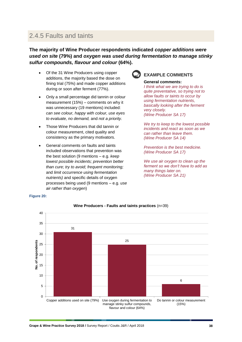## <span id="page-37-0"></span>2.4.5 Faults and taints

**The majority of Wine Producer respondents indicated** *copper additions were used on site* **(79%) and** *oxygen was used during fermentation to manage stinky sulfur compounds, flavour and colour* **(64%).**

- Of the 31 Wine Producers using copper additions, the majority based the dose on fining trial (75%) and made copper additions during or soon after ferment (77%).
- Only a small percentage did tannin or colour measurement (15%) – comments on why it was unnecessary (19 mentions) included: *can see colour, happy with colour, use eyes to evaluate, no demand,* and *not a priority.*
- Those Wine Producers that did tannin or colour measurement, cited quality and consistency as the primary motivators.
- General comments on faults and taints included observations that prevention was the best solution (9 mentions – e.g. *keep lowest possible incidents; prevention better than cure; try to avoid; frequent monitoring;*  and *limit occurrence using fermentation nutrients)* and specific details of oxygen processes being used (9 mentions – e.g. *use air rather than oxygen*)



#### **EXAMPLE COMMENTS**

**General comments:**

*I think what we are trying to do is quite preventative, so trying not to allow faults or taints to occur by using fermentation nutrients, basically looking after the ferment very closely. (Wine Producer SA 17)*

*We try to keep to the lowest possible incidents and react as soon as we can rather than leave them. (Wine Producer SA 14)*

*Prevention is the best medicine. (Wine Producer SA 17)*

*We use air oxygen to clean up the ferment so we don't have to add as many things later on. (Wine Producer SA 21)*

#### **Figure 20:**



#### **Wine Producers - Faults and taints practices** (n=39)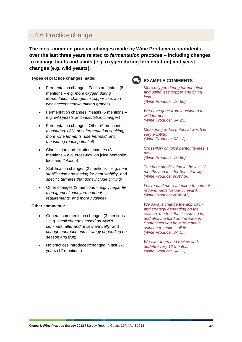### <span id="page-38-0"></span>2.4.6 Practice change

**The most common practice changes made by Wine Producer respondents over the last three years related to** *fermentation practices* **– including changes to manage faults and taints (e.g. oxygen during fermentation) and yeast changes (e.g. wild yeasts).**

**Types of practice changes made:**

- Fermentation changes: Faults and taints (8 mentions – e.g. *more oxygen during fermentation, changes to copper use, and won't accept smoke tainted grapes*)
- Fermentation changes: Yeasts (5 mentions e.g. *wild yeasts* and *inoculation changes*)
- Fermentation changes: Other (6 mentions *measuring YAN, post fermentation soaking, more wine ferments, use Fermaid,* and *measuring redox potential*)
- Clarification and filtration changes (3 mentions – e.g. cross-flow on juice bentonite lees and *flotation*)
- Stabilisation changes (2 mentions e.g. *heat stabilisation and testing for heat stability,* and *specific tartrates that don't include chilling*)
- Other changes (3 mentions e.g*. vinegar fly management, vineyard nutrient requirements,* and *more hygiene*)

#### **Other comments:**

- General comments on changes (3 mentions – e.g. *small changes based on AWRI seminars, alter and review annually,* and *change approach and strategy depending on season and fruit*)
- No practices introduced/changed in last 2-3 years (12 mentions)



#### **EXAMPLE COMMENTS**

*More oxygen during fermentation and using less copper and fining less. (Wine Producer Vic 50)*

*We have gone from inoculated to wild ferment. (Wine Producer SA 25)*

*Measuring redox potential which is very exciting. (Wine Producer SA 12)*

*Cross-flow on juice bentonite lees is new. (Wine Producer Vic 50)*

*The heat stabilisation in the last 12 months and test for heat stability. (Wine Producer NSW 36)*

*I have paid more attention to nutrient requirements for our vineyard. (Wine Producer NSW 43)*

*We always change the approach and strategy depending on the season, the fruit that is coming in, and also the load on the winery. Sometimes you have to make a solution to make it all fit. (Wine Producer SA 17)*

*We alter them and review and update every 12 months. (Wine Producer SA 12)*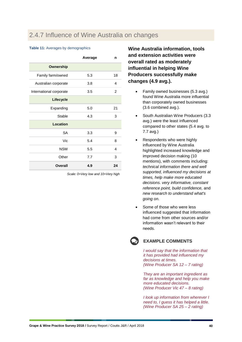## <span id="page-39-0"></span>2.4.7 Influence of Wine Australia on changes

#### **Table 11:** Averages by demographics

|                         | Average | n              |
|-------------------------|---------|----------------|
| <b>Ownership</b>        |         |                |
| Family farm/owned       | 5.3     | 18             |
| Australian corporate    | 3.8     | 4              |
| International corporate | 3.5     | $\mathfrak{p}$ |
| Lifecycle               |         |                |
| Expanding               | 5.0     | 21             |
| <b>Stable</b>           | 4.3     | 3              |
| Location                |         |                |
| <b>SA</b>               | 3.3     | 9              |
| Vic                     | 5.4     | 8              |
| <b>NSW</b>              | 5.5     | 4              |
| Other                   | 7.7     | 3              |
| Overall                 | 4.9     | 24             |

*Scale: 0=Very low and 10=Very high*

**Wine Australia information, tools and extension activities were overall rated as moderately influential in helping Wine Producers successfully make changes (4.9 avg.).**

- Family owned businesses (5.3 avg.) found Wine Australia more influential than corporately owned businesses (3.6 combined avg.).
- South Australian Wine Producers (3.3 avg.) were the least influenced compared to other states (5.4 avg. to 7.7 avg.)
- Respondents who were highly influenced by Wine Australia highlighted increased knowledge and improved decision making (10 mentions), with comments including: *technical information there and well supported, influenced my decisions at times, help make more educated decisions. very informative, constant reference point, build confidence,* and *new research to understand what's going on.*
- Some of those who were less influenced suggested that information had come from other sources and/or information wasn't relevant to their needs.



#### **EXAMPLE COMMENTS**

*I would say that the information that it has provided had influenced my decisions at times. (Wine Producer SA 12 – 7 rating)*

*They are an important ingredient as far as knowledge and help you make more educated decisions. (Wine Producer Vic 47 – 8 rating)*

*I look up information from wherever I need to, I guess it has helped a little. (Wine Producer SA 25 – 2 rating)*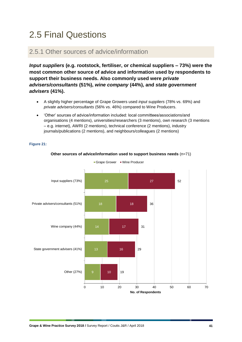## <span id="page-40-0"></span>2.5 Final Questions

### <span id="page-40-1"></span>2.5.1 Other sources of advice/information

*Input suppliers* **(e.g. rootstock, fertiliser, or chemical suppliers – 73%) were the most common other source of advice and information used by respondents to support their business needs. Also commonly used were** *private advisers/consultants* **(51%),** *wine company* **(44%), and** *state government advisers* **(41%).**

- A slightly higher percentage of Grape Growers used *input suppliers* (78% vs. 69%) and *private advisers/consultants* (56% vs. 46%) compared to Wine Producers.
- 'Other' sources of advice/information included: local committees/associations/and organisations (4 mentions), universities/researchers (3 mentions), own research (3 mentions – e.g. internet), AWRI (2 mentions), technical conference (2 mentions), industry journals/publications (2 mentions), and neighbours/colleagues (2 mentions)

#### **Figure 21:**



#### **Other sources of advice/information used to support business needs** (n=71)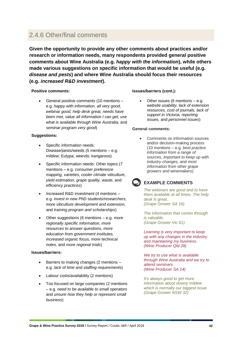### <span id="page-41-0"></span>2.4.6 Other/final comments

**Given the opportunity to provide any other comments about practices and/or research or information needs, many respondents provided general positive comments about Wine Australia (e.g.** *happy with the information***), while others made various suggestions on specific information that would be useful (e.g.**  *disease and pests***) and where Wine Australia should focus their resources (e.g.** *increased R&D investment***).**

#### **Positive comments:**

• General positive comments (10 mentions – e.g. *happy with information, all very good, webinar good, help desk great, needs have been met, value all information I can get, use what is available through Wine Australia,* and *seminar program very good*)

#### **Suggestions:**

- Specific information needs: Disease/pests/weeds (5 mentions – e.g. mildew; Eutypa; weevils; kangaroos)
- Specific information needs: Other topics (7 mentions – e.g. *consumer preference mapping, varieties, cooler climate viticulture, yield estimation, grape quality, waste,* and *efficiency practices*)
- Increased R&D investment (4 mentions e.g. *invest in new PhD students/researchers, more viticulture development and extension,*  and *training program and scholarships*)
- Other suggestions (6 mentions e.g. *more regionally specific information, more resources to answer questions, more education from government institutes, increased organic focus, more technical notes,* and *more regional trials*)

#### **Issues/barriers:**

- Barriers to making changes (2 mentions e.g. *lack of time* and *staffing requirements*)
- Labour costs/availability (2 mentions)
- Too focused on large companies (2 mentions – e.g. *need to be available to small operators* and *unsure how they help or represent small business*)

#### **Issues/barriers (cont.):**

Other issues (6 mentions  $-$  e.g. *website usability, lack of extension resources, cost of journals, lack of support in Victoria, reporting issues,* and *personnel issues*)

#### **General comments:**

• Comments on information sources and/or decision-making process (10 mentions – e.g*. best practice information from a range of sources, important to keep up with industry changes,* and *most information from other grape growers and winemakers*)

### **EXAMPLE COMMENTS**

*The webinars are good and to have them available at all times. The help desk is great. (Grape Grower SA 16)*

*The information that comes through is valuable. (Grape Grower Vic 61)*

*Learning is very important to keep up with any changes in the industry and maintaining my business. (Wine Producer Qld 28)*

*We try to use what is available through Wine Australia and we try to attend seminars. (Wine Producer SA 14)*

*It's always good to get more information about downy mildew which is normally our biggest issue. (Grape Grower NSW 32)*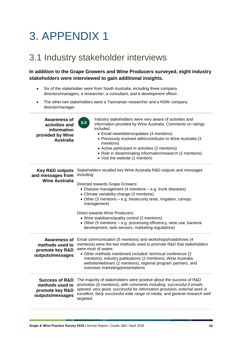# <span id="page-42-0"></span>3. APPENDIX 1

## <span id="page-42-1"></span>3.1 Industry stakeholder interviews

#### **In addition to the Grape Growers and Wine Producers surveyed, eight industry stakeholders were interviewed to gain additional insights.**

- Six of the stakeholder were from South Australia, including three company directors/managers, a researcher, a consultant, and a development officer.
- The other two stakeholders were a Tasmanian researcher and a NSW company director/manager.

| <b>Awareness of</b><br>activities and<br>information<br>provided by Wine<br><b>Australia</b> | Industry stakeholders were very aware of activities and<br>8.9<br>information provided by Wine Australia. Comments on ratings<br>included:<br>• Email newsletters/updates (4 mentions)<br>• Previously involved with/contributor to Wine Australia (3<br>mentions)<br>• Active participant in activities (2 mentions)<br>• Role in disseminating information/research (2 mentions)<br>• Visit the website (1 mention)                                                                                                           |
|----------------------------------------------------------------------------------------------|---------------------------------------------------------------------------------------------------------------------------------------------------------------------------------------------------------------------------------------------------------------------------------------------------------------------------------------------------------------------------------------------------------------------------------------------------------------------------------------------------------------------------------|
| <b>Key R&amp;D outputs</b><br>and messages from<br><b>Wine Australia</b>                     | Stakeholders recalled key Wine Australia R&D outputs and messages<br>including:<br>Directed towards Grape Growers:<br>• Disease management (4 mentions - e.g. trunk diseases)<br>• Climate variability change (3 mentions)<br>• Other (3 mentions - e.g. biosecurity tests, irrigation, canopy<br>management)<br>Direct towards Wine Producers:<br>• Wine stabilisers/quality control (2 mentions)<br>• Other (5 mentions - e.g. processing efficiency, wine use, bacteria<br>development, tank sensors, marketing regulations) |
| <b>Awareness of</b><br>methods used to<br>promote key R&D<br>outputs/messages                | Email communication (5 mentions) and workshops/roadshows (4<br>mentions) were the two methods used to promote R&D that stakeholders<br>were most of aware.<br>• Other methods mentioned included: technical conference (2)<br>mentions), industry publications (2 mentions), Wine Australia<br>website/webinars (2 mentions), regional program partners, and<br>overseas marketing/presentations                                                                                                                                |
| <b>Success of R&amp;D</b><br>methods used to<br>promote key R&D<br>outputs/messages          | The majority of stakeholders were positive about the success of R&D<br>promotion (6 mentions), with comments including: successful if emails<br>opened, very good, successful for information provision, external work is<br>excellent, fairly successful wide range of media, and general research well<br>targeted.                                                                                                                                                                                                           |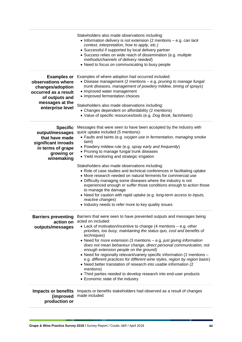|                                                                                                                                               | Stakeholders also made observations including:<br>• Information delivery is not extension (2 mentions $-$ e.g. can lack<br>context, interpretation, how to apply, etc.)<br>• Successful if supported by local delivery partner<br>• Success relies on wide reach of dissemination (e.g. multiple<br>methods/channels of delivery needed)<br>• Need to focus on communicating to busy people                                                                                                                                                                                                                                                                                                                                                                                                                                                                              |
|-----------------------------------------------------------------------------------------------------------------------------------------------|--------------------------------------------------------------------------------------------------------------------------------------------------------------------------------------------------------------------------------------------------------------------------------------------------------------------------------------------------------------------------------------------------------------------------------------------------------------------------------------------------------------------------------------------------------------------------------------------------------------------------------------------------------------------------------------------------------------------------------------------------------------------------------------------------------------------------------------------------------------------------|
| <b>Examples or</b><br>observations where<br>changes/adoption<br>occurred as a result<br>of outputs and<br>messages at the<br>enterprise level | Examples of where adoption had occurred included:<br>• Disease management (2 mentions - e.g. pruning to manage fungal<br>trunk diseases, management of powdery mildew, timing of sprays)<br>• Improved water management<br>• Improved fermentation choices<br>Stakeholders also made observations including:<br>• Changes dependent on affordability (2 mentions)<br>• Value of specific resources/tools (e.g. Dog Book, factsheets)                                                                                                                                                                                                                                                                                                                                                                                                                                     |
| <b>Specific</b><br>output/messages<br>that have made<br>significant inroads<br>in terms of grape<br>growing or<br>winemaking                  | Messages that were seen to have been accepted by the industry with<br>quick uptake included (5 mentions):<br>• Faults and taints (e.g. oxygen use in fermentation, managing smoke<br>taint)<br>• Powdery mildew rule (e.g. spray early and frequently)<br>• Pruning to manage fungal trunk diseases<br>• Yield monitoring and strategic irrigation<br>Stakeholders also made observations including:<br>• Role of case studies and technical conferences in facilitating uptake<br>• More research needed on natural ferments for commercial use<br>• Difficulty managing some diseases where the industry is not<br>experienced enough or suffer those conditions enough to action those<br>to manage the damage<br>• Need for caution with rapid uptake (e.g. long-term access to inputs,<br>reactive changes)<br>• Industry needs to refer more to key quality issues |
| <b>Barriers preventing</b><br>action on<br>outputs/messages                                                                                   | Barriers that were seen to have prevented outputs and messages being<br>acted on included:<br>• Lack of motivation/incentive to change (4 mentions – e.g. other<br>priorities, too busy, maintaining the status quo, cost and benefits of<br>techniques)<br>• Need for more extension (3 mentions – e.g. just giving information<br>does not mean behaviour change, direct personal communication, not<br>enough extension people on the ground)<br>• Need for regionally relevant/variety specific information (2 mentions -<br>e.g. different practices for different wine styles, region by region basis)<br>• Need better translation of research into usable information (2<br>mentions)<br>• Third parties needed to develop research into end-user products<br>• Economic state of the industry                                                                   |
| <b>Impacts or benefits</b><br>(improved<br>production or                                                                                      | Impacts or benefits stakeholders had observed as a result of changes<br>made included:                                                                                                                                                                                                                                                                                                                                                                                                                                                                                                                                                                                                                                                                                                                                                                                   |